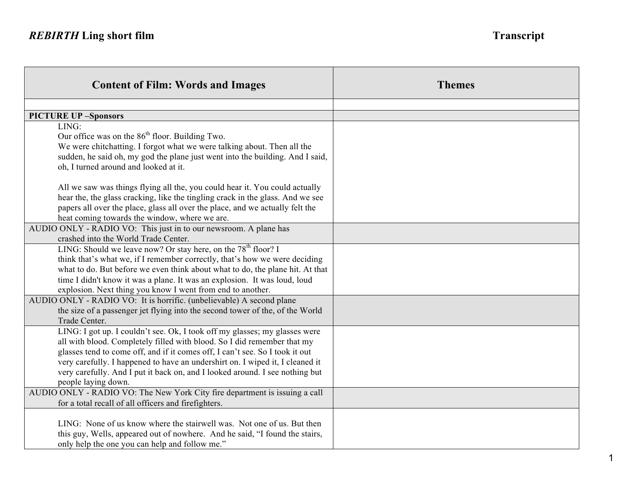| <b>Content of Film: Words and Images</b>                                                                                                                                                                                                                                                                                                                                                                                      | <b>Themes</b> |
|-------------------------------------------------------------------------------------------------------------------------------------------------------------------------------------------------------------------------------------------------------------------------------------------------------------------------------------------------------------------------------------------------------------------------------|---------------|
|                                                                                                                                                                                                                                                                                                                                                                                                                               |               |
| <b>PICTURE UP -Sponsors</b>                                                                                                                                                                                                                                                                                                                                                                                                   |               |
| LING:<br>Our office was on the 86 <sup>th</sup> floor. Building Two.<br>We were chitchatting. I forgot what we were talking about. Then all the<br>sudden, he said oh, my god the plane just went into the building. And I said,<br>oh, I turned around and looked at it.                                                                                                                                                     |               |
| All we saw was things flying all the, you could hear it. You could actually<br>hear the, the glass cracking, like the tingling crack in the glass. And we see<br>papers all over the place, glass all over the place, and we actually felt the<br>heat coming towards the window, where we are.                                                                                                                               |               |
| AUDIO ONLY - RADIO VO: This just in to our newsroom. A plane has<br>crashed into the World Trade Center.                                                                                                                                                                                                                                                                                                                      |               |
| LING: Should we leave now? Or stay here, on the $78th$ floor? I<br>think that's what we, if I remember correctly, that's how we were deciding<br>what to do. But before we even think about what to do, the plane hit. At that<br>time I didn't know it was a plane. It was an explosion. It was loud, loud<br>explosion. Next thing you know I went from end to another.                                                     |               |
| AUDIO ONLY - RADIO VO: It is horrific. (unbelievable) A second plane<br>the size of a passenger jet flying into the second tower of the, of the World<br>Trade Center.                                                                                                                                                                                                                                                        |               |
| LING: I got up. I couldn't see. Ok, I took off my glasses; my glasses were<br>all with blood. Completely filled with blood. So I did remember that my<br>glasses tend to come off, and if it comes off, I can't see. So I took it out<br>very carefully. I happened to have an undershirt on. I wiped it, I cleaned it<br>very carefully. And I put it back on, and I looked around. I see nothing but<br>people laying down. |               |
| AUDIO ONLY - RADIO VO: The New York City fire department is issuing a call<br>for a total recall of all officers and firefighters.                                                                                                                                                                                                                                                                                            |               |
| LING: None of us know where the stairwell was. Not one of us. But then<br>this guy, Wells, appeared out of nowhere. And he said, "I found the stairs,<br>only help the one you can help and follow me."                                                                                                                                                                                                                       |               |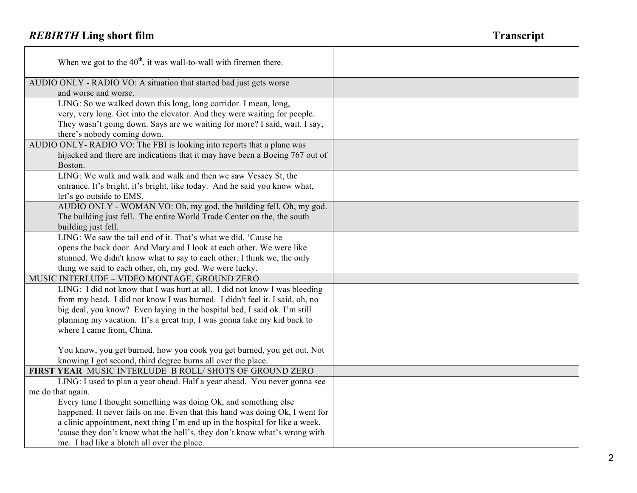$\Gamma$ 

| When we got to the $40^{\text{th}}$ , it was wall-to-wall with firemen there.                                           |  |
|-------------------------------------------------------------------------------------------------------------------------|--|
| AUDIO ONLY - RADIO VO: A situation that started bad just gets worse<br>and worse and worse.                             |  |
| LING: So we walked down this long, long corridor. I mean, long,                                                         |  |
| very, very long. Got into the elevator. And they were waiting for people.                                               |  |
| They wasn't going down. Says are we waiting for more? I said, wait. I say,                                              |  |
| there's nobody coming down.                                                                                             |  |
| AUDIO ONLY-RADIO VO: The FBI is looking into reports that a plane was                                                   |  |
| hijacked and there are indications that it may have been a Boeing 767 out of<br>Boston.                                 |  |
| LING: We walk and walk and walk and then we saw Vessey St, the                                                          |  |
| entrance. It's bright, it's bright, like today. And he said you know what,                                              |  |
| let's go outside to EMS.                                                                                                |  |
| AUDIO ONLY - WOMAN VO: Oh, my god, the building fell. Oh, my god.                                                       |  |
| The building just fell. The entire World Trade Center on the, the south                                                 |  |
| building just fell.                                                                                                     |  |
| LING: We saw the tail end of it. That's what we did. 'Cause he                                                          |  |
| opens the back door. And Mary and I look at each other. We were like                                                    |  |
| stunned. We didn't know what to say to each other. I think we, the only                                                 |  |
| thing we said to each other, oh, my god. We were lucky.                                                                 |  |
| MUSIC INTERLUDE - VIDEO MONTAGE, GROUND ZERO                                                                            |  |
| LING: I did not know that I was hurt at all. I did not know I was bleeding                                              |  |
| from my head. I did not know I was burned. I didn't feel it. I said, oh, no                                             |  |
| big deal, you know? Even laying in the hospital bed, I said ok. I'm still                                               |  |
| planning my vacation. It's a great trip, I was gonna take my kid back to                                                |  |
| where I came from, China.                                                                                               |  |
|                                                                                                                         |  |
| You know, you get burned, how you cook you get burned, you get out. Not                                                 |  |
| knowing I got second, third degree burns all over the place.<br>FIRST YEAR MUSIC INTERLUDE B ROLL/ SHOTS OF GROUND ZERO |  |
| LING: I used to plan a year ahead. Half a year ahead. You never gonna see                                               |  |
| me do that again.                                                                                                       |  |
| Every time I thought something was doing Ok, and something else                                                         |  |
| happened. It never fails on me. Even that this hand was doing Ok, I went for                                            |  |
| a clinic appointment, next thing I'm end up in the hospital for like a week,                                            |  |
| 'cause they don't know what the hell's, they don't know what's wrong with                                               |  |
| me. I had like a blotch all over the place.                                                                             |  |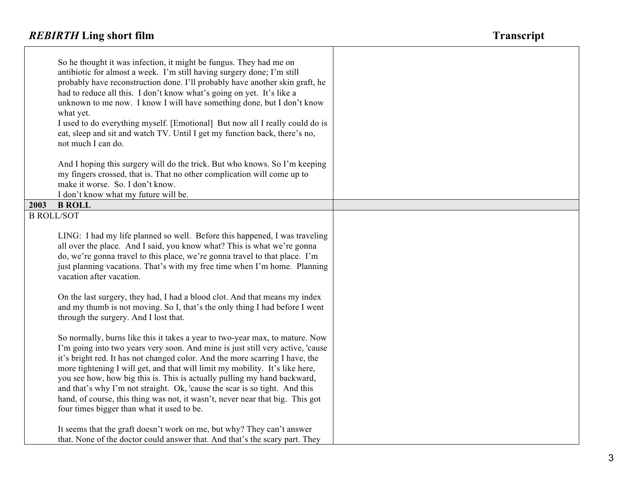П

|                   | So he thought it was infection, it might be fungus. They had me on<br>antibiotic for almost a week. I'm still having surgery done; I'm still<br>probably have reconstruction done. I'll probably have another skin graft, he<br>had to reduce all this. I don't know what's going on yet. It's like a<br>unknown to me now. I know I will have something done, but I don't know<br>what yet.<br>I used to do everything myself. [Emotional] But now all I really could do is<br>eat, sleep and sit and watch TV. Until I get my function back, there's no,<br>not much I can do.                                        |  |
|-------------------|-------------------------------------------------------------------------------------------------------------------------------------------------------------------------------------------------------------------------------------------------------------------------------------------------------------------------------------------------------------------------------------------------------------------------------------------------------------------------------------------------------------------------------------------------------------------------------------------------------------------------|--|
|                   | And I hoping this surgery will do the trick. But who knows. So I'm keeping<br>my fingers crossed, that is. That no other complication will come up to<br>make it worse. So. I don't know.<br>I don't know what my future will be.                                                                                                                                                                                                                                                                                                                                                                                       |  |
| 2003              | <b>B ROLL</b>                                                                                                                                                                                                                                                                                                                                                                                                                                                                                                                                                                                                           |  |
| <b>B ROLL/SOT</b> |                                                                                                                                                                                                                                                                                                                                                                                                                                                                                                                                                                                                                         |  |
|                   | LING: I had my life planned so well. Before this happened, I was traveling<br>all over the place. And I said, you know what? This is what we're gonna<br>do, we're gonna travel to this place, we're gonna travel to that place. I'm<br>just planning vacations. That's with my free time when I'm home. Planning<br>vacation after vacation.<br>On the last surgery, they had, I had a blood clot. And that means my index<br>and my thumb is not moving. So I, that's the only thing I had before I went                                                                                                              |  |
|                   | through the surgery. And I lost that.                                                                                                                                                                                                                                                                                                                                                                                                                                                                                                                                                                                   |  |
|                   | So normally, burns like this it takes a year to two-year max, to mature. Now<br>I'm going into two years very soon. And mine is just still very active, 'cause<br>it's bright red. It has not changed color. And the more scarring I have, the<br>more tightening I will get, and that will limit my mobility. It's like here,<br>you see how, how big this is. This is actually pulling my hand backward,<br>and that's why I'm not straight. Ok, 'cause the scar is so tight. And this<br>hand, of course, this thing was not, it wasn't, never near that big. This got<br>four times bigger than what it used to be. |  |
|                   | It seems that the graft doesn't work on me, but why? They can't answer<br>that. None of the doctor could answer that. And that's the scary part. They                                                                                                                                                                                                                                                                                                                                                                                                                                                                   |  |

┰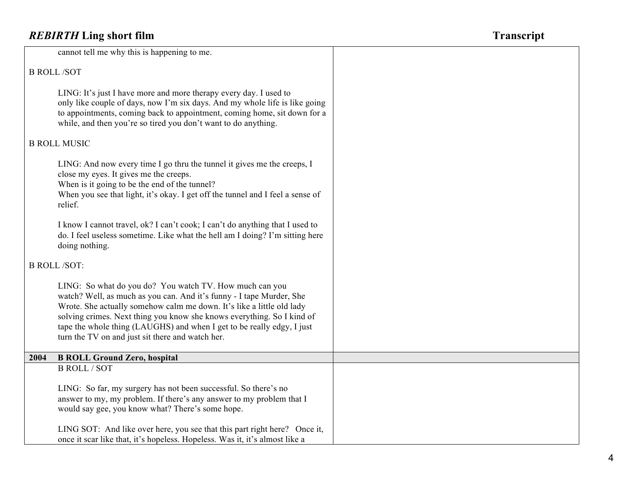|      | cannot tell me why this is happening to me.                                                                                                                                                                                                                                                                                                                                                                      |
|------|------------------------------------------------------------------------------------------------------------------------------------------------------------------------------------------------------------------------------------------------------------------------------------------------------------------------------------------------------------------------------------------------------------------|
|      | <b>B ROLL/SOT</b>                                                                                                                                                                                                                                                                                                                                                                                                |
|      | LING: It's just I have more and more therapy every day. I used to<br>only like couple of days, now I'm six days. And my whole life is like going<br>to appointments, coming back to appointment, coming home, sit down for a<br>while, and then you're so tired you don't want to do anything.                                                                                                                   |
|      | <b>B ROLL MUSIC</b>                                                                                                                                                                                                                                                                                                                                                                                              |
|      | LING: And now every time I go thru the tunnel it gives me the creeps, I<br>close my eyes. It gives me the creeps.<br>When is it going to be the end of the tunnel?<br>When you see that light, it's okay. I get off the tunnel and I feel a sense of<br>relief.                                                                                                                                                  |
|      | I know I cannot travel, ok? I can't cook; I can't do anything that I used to<br>do. I feel useless sometime. Like what the hell am I doing? I'm sitting here<br>doing nothing.                                                                                                                                                                                                                                   |
|      | <b>B ROLL/SOT:</b>                                                                                                                                                                                                                                                                                                                                                                                               |
|      | LING: So what do you do? You watch TV. How much can you<br>watch? Well, as much as you can. And it's funny - I tape Murder, She<br>Wrote. She actually somehow calm me down. It's like a little old lady<br>solving crimes. Next thing you know she knows everything. So I kind of<br>tape the whole thing (LAUGHS) and when I get to be really edgy, I just<br>turn the TV on and just sit there and watch her. |
| 2004 | <b>B ROLL Ground Zero, hospital</b>                                                                                                                                                                                                                                                                                                                                                                              |
|      | <b>B ROLL / SOT</b>                                                                                                                                                                                                                                                                                                                                                                                              |
|      | LING: So far, my surgery has not been successful. So there's no<br>answer to my, my problem. If there's any answer to my problem that I<br>would say gee, you know what? There's some hope.                                                                                                                                                                                                                      |
|      | LING SOT: And like over here, you see that this part right here? Once it,<br>once it scar like that, it's hopeless. Hopeless. Was it, it's almost like a                                                                                                                                                                                                                                                         |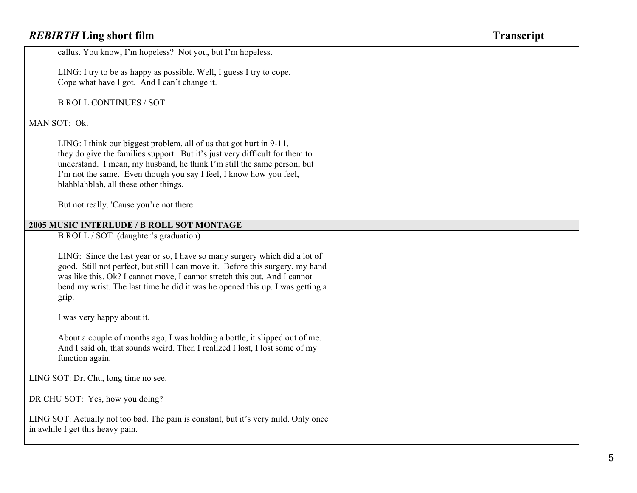| callus. You know, I'm hopeless? Not you, but I'm hopeless.                                                                                                                                                                                                                                                                                                                               |  |
|------------------------------------------------------------------------------------------------------------------------------------------------------------------------------------------------------------------------------------------------------------------------------------------------------------------------------------------------------------------------------------------|--|
| LING: I try to be as happy as possible. Well, I guess I try to cope.<br>Cope what have I got. And I can't change it.                                                                                                                                                                                                                                                                     |  |
| <b>B ROLL CONTINUES / SOT</b>                                                                                                                                                                                                                                                                                                                                                            |  |
| MAN SOT: Ok.                                                                                                                                                                                                                                                                                                                                                                             |  |
| LING: I think our biggest problem, all of us that got hurt in 9-11,<br>they do give the families support. But it's just very difficult for them to<br>understand. I mean, my husband, he think I'm still the same person, but<br>I'm not the same. Even though you say I feel, I know how you feel,<br>blahblahblah, all these other things.<br>But not really. 'Cause you're not there. |  |
| 2005 MUSIC INTERLUDE / B ROLL SOT MONTAGE                                                                                                                                                                                                                                                                                                                                                |  |
| B ROLL / SOT (daughter's graduation)<br>LING: Since the last year or so, I have so many surgery which did a lot of<br>good. Still not perfect, but still I can move it. Before this surgery, my hand<br>was like this. Ok? I cannot move, I cannot stretch this out. And I cannot<br>bend my wrist. The last time he did it was he opened this up. I was getting a                       |  |
| grip.                                                                                                                                                                                                                                                                                                                                                                                    |  |
| I was very happy about it.                                                                                                                                                                                                                                                                                                                                                               |  |
| About a couple of months ago, I was holding a bottle, it slipped out of me.<br>And I said oh, that sounds weird. Then I realized I lost, I lost some of my<br>function again.                                                                                                                                                                                                            |  |
| LING SOT: Dr. Chu, long time no see.                                                                                                                                                                                                                                                                                                                                                     |  |
| DR CHU SOT: Yes, how you doing?                                                                                                                                                                                                                                                                                                                                                          |  |
| LING SOT: Actually not too bad. The pain is constant, but it's very mild. Only once<br>in awhile I get this heavy pain.                                                                                                                                                                                                                                                                  |  |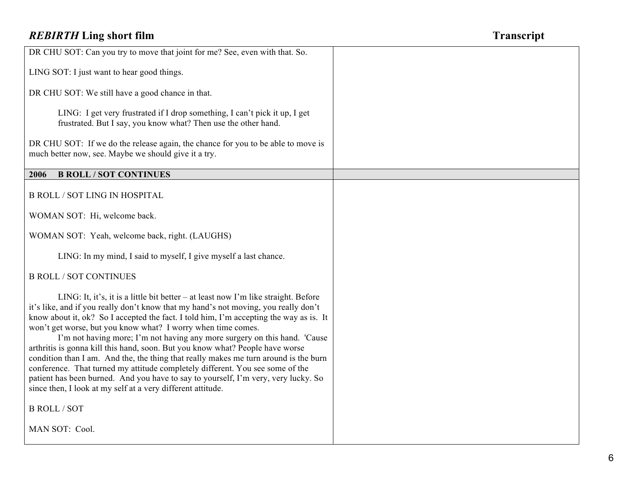| DR CHU SOT: Can you try to move that joint for me? See, even with that. So.                                                                                                                                                                                                                                                                                                                                                                                                                                                                                                                                                                                                                                                                                                                                                     |  |
|---------------------------------------------------------------------------------------------------------------------------------------------------------------------------------------------------------------------------------------------------------------------------------------------------------------------------------------------------------------------------------------------------------------------------------------------------------------------------------------------------------------------------------------------------------------------------------------------------------------------------------------------------------------------------------------------------------------------------------------------------------------------------------------------------------------------------------|--|
| LING SOT: I just want to hear good things.                                                                                                                                                                                                                                                                                                                                                                                                                                                                                                                                                                                                                                                                                                                                                                                      |  |
| DR CHU SOT: We still have a good chance in that.                                                                                                                                                                                                                                                                                                                                                                                                                                                                                                                                                                                                                                                                                                                                                                                |  |
| LING: I get very frustrated if I drop something, I can't pick it up, I get<br>frustrated. But I say, you know what? Then use the other hand.                                                                                                                                                                                                                                                                                                                                                                                                                                                                                                                                                                                                                                                                                    |  |
| DR CHU SOT: If we do the release again, the chance for you to be able to move is<br>much better now, see. Maybe we should give it a try.                                                                                                                                                                                                                                                                                                                                                                                                                                                                                                                                                                                                                                                                                        |  |
| <b>B ROLL / SOT CONTINUES</b><br>2006                                                                                                                                                                                                                                                                                                                                                                                                                                                                                                                                                                                                                                                                                                                                                                                           |  |
| <b>B ROLL / SOT LING IN HOSPITAL</b>                                                                                                                                                                                                                                                                                                                                                                                                                                                                                                                                                                                                                                                                                                                                                                                            |  |
| WOMAN SOT: Hi, welcome back.                                                                                                                                                                                                                                                                                                                                                                                                                                                                                                                                                                                                                                                                                                                                                                                                    |  |
| WOMAN SOT: Yeah, welcome back, right. (LAUGHS)                                                                                                                                                                                                                                                                                                                                                                                                                                                                                                                                                                                                                                                                                                                                                                                  |  |
| LING: In my mind, I said to myself, I give myself a last chance.                                                                                                                                                                                                                                                                                                                                                                                                                                                                                                                                                                                                                                                                                                                                                                |  |
| <b>B ROLL / SOT CONTINUES</b>                                                                                                                                                                                                                                                                                                                                                                                                                                                                                                                                                                                                                                                                                                                                                                                                   |  |
| LING: It, it's, it is a little bit better - at least now I'm like straight. Before<br>it's like, and if you really don't know that my hand's not moving, you really don't<br>know about it, ok? So I accepted the fact. I told him, I'm accepting the way as is. It<br>won't get worse, but you know what? I worry when time comes.<br>I'm not having more; I'm not having any more surgery on this hand. 'Cause<br>arthritis is gonna kill this hand, soon. But you know what? People have worse<br>condition than I am. And the, the thing that really makes me turn around is the burn<br>conference. That turned my attitude completely different. You see some of the<br>patient has been burned. And you have to say to yourself, I'm very, very lucky. So<br>since then, I look at my self at a very different attitude. |  |
| <b>B ROLL / SOT</b>                                                                                                                                                                                                                                                                                                                                                                                                                                                                                                                                                                                                                                                                                                                                                                                                             |  |
| MAN SOT: Cool.                                                                                                                                                                                                                                                                                                                                                                                                                                                                                                                                                                                                                                                                                                                                                                                                                  |  |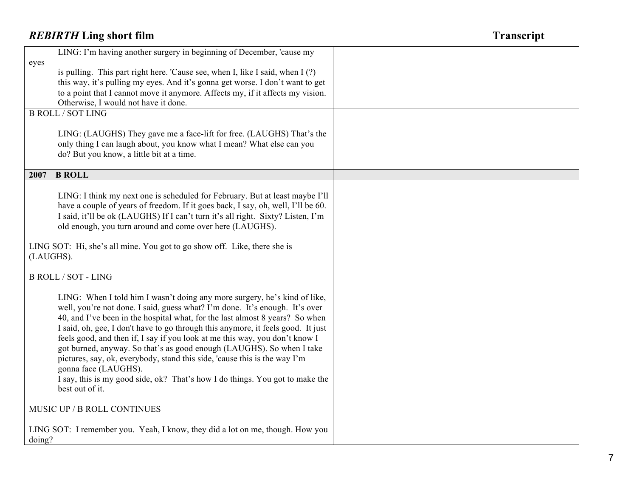| LING: I'm having another surgery in beginning of December, 'cause my                                                                                                                                                                                                                                                                                                                                                                                                                                                                                                                                                                                                                         |  |
|----------------------------------------------------------------------------------------------------------------------------------------------------------------------------------------------------------------------------------------------------------------------------------------------------------------------------------------------------------------------------------------------------------------------------------------------------------------------------------------------------------------------------------------------------------------------------------------------------------------------------------------------------------------------------------------------|--|
| eyes<br>is pulling. This part right here. 'Cause see, when I, like I said, when I (?)                                                                                                                                                                                                                                                                                                                                                                                                                                                                                                                                                                                                        |  |
| this way, it's pulling my eyes. And it's gonna get worse. I don't want to get                                                                                                                                                                                                                                                                                                                                                                                                                                                                                                                                                                                                                |  |
| to a point that I cannot move it anymore. Affects my, if it affects my vision.                                                                                                                                                                                                                                                                                                                                                                                                                                                                                                                                                                                                               |  |
| Otherwise, I would not have it done.                                                                                                                                                                                                                                                                                                                                                                                                                                                                                                                                                                                                                                                         |  |
| <b>B ROLL / SOT LING</b>                                                                                                                                                                                                                                                                                                                                                                                                                                                                                                                                                                                                                                                                     |  |
| LING: (LAUGHS) They gave me a face-lift for free. (LAUGHS) That's the<br>only thing I can laugh about, you know what I mean? What else can you<br>do? But you know, a little bit at a time.                                                                                                                                                                                                                                                                                                                                                                                                                                                                                                  |  |
| <b>B ROLL</b><br>2007                                                                                                                                                                                                                                                                                                                                                                                                                                                                                                                                                                                                                                                                        |  |
| LING: I think my next one is scheduled for February. But at least maybe I'll<br>have a couple of years of freedom. If it goes back, I say, oh, well, I'll be 60.<br>I said, it'll be ok (LAUGHS) If I can't turn it's all right. Sixty? Listen, I'm<br>old enough, you turn around and come over here (LAUGHS).                                                                                                                                                                                                                                                                                                                                                                              |  |
| LING SOT: Hi, she's all mine. You got to go show off. Like, there she is<br>(LAUGHS).                                                                                                                                                                                                                                                                                                                                                                                                                                                                                                                                                                                                        |  |
| <b>B ROLL / SOT - LING</b>                                                                                                                                                                                                                                                                                                                                                                                                                                                                                                                                                                                                                                                                   |  |
| LING: When I told him I wasn't doing any more surgery, he's kind of like,<br>well, you're not done. I said, guess what? I'm done. It's enough. It's over<br>40, and I've been in the hospital what, for the last almost 8 years? So when<br>I said, oh, gee, I don't have to go through this anymore, it feels good. It just<br>feels good, and then if, I say if you look at me this way, you don't know I<br>got burned, anyway. So that's as good enough (LAUGHS). So when I take<br>pictures, say, ok, everybody, stand this side, 'cause this is the way I'm<br>gonna face (LAUGHS).<br>I say, this is my good side, ok? That's how I do things. You got to make the<br>best out of it. |  |
| MUSIC UP / B ROLL CONTINUES                                                                                                                                                                                                                                                                                                                                                                                                                                                                                                                                                                                                                                                                  |  |
| LING SOT: I remember you. Yeah, I know, they did a lot on me, though. How you<br>doing?                                                                                                                                                                                                                                                                                                                                                                                                                                                                                                                                                                                                      |  |